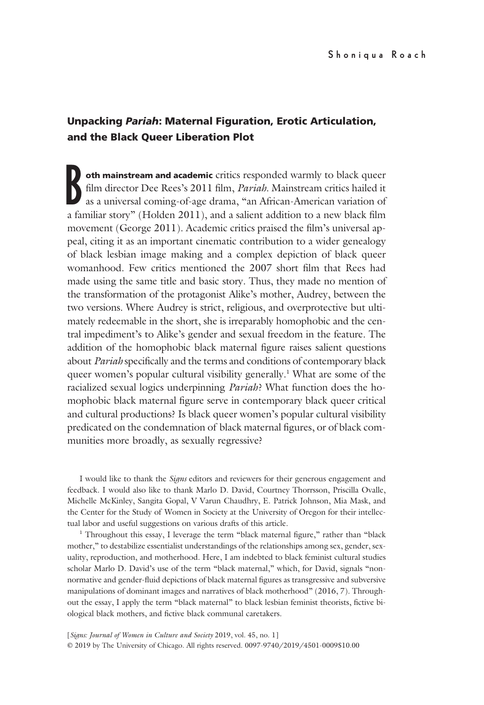# Unpacking Pariah: Maternal Figuration, Erotic Articulation, and the Black Queer Liberation Plot

B<sub>afa</sub> oth mainstream and academic critics responded warmly to black queer film director Dee Rees's 2011 film, Pariah. Mainstream critics hailed it as a universal coming-of-age drama, "an African-American variation of a familiar story" (Holden 2011), and a salient addition to a new black film movement (George 2011). Academic critics praised the film's universal appeal, citing it as an important cinematic contribution to a wider genealogy of black lesbian image making and a complex depiction of black queer womanhood. Few critics mentioned the 2007 short film that Rees had made using the same title and basic story. Thus, they made no mention of the transformation of the protagonist Alike's mother, Audrey, between the two versions. Where Audrey is strict, religious, and overprotective but ultimately redeemable in the short, she is irreparably homophobic and the central impediment's to Alike's gender and sexual freedom in the feature. The addition of the homophobic black maternal figure raises salient questions about Pariah specifically and the terms and conditions of contemporary black queer women's popular cultural visibility generally.<sup>1</sup> What are some of the racialized sexual logics underpinning *Pariah*? What function does the homophobic black maternal figure serve in contemporary black queer critical and cultural productions? Is black queer women's popular cultural visibility predicated on the condemnation of black maternal figures, or of black communities more broadly, as sexually regressive?

I would like to thank the Signs editors and reviewers for their generous engagement and feedback. I would also like to thank Marlo D. David, Courtney Thorrsson, Priscilla Ovalle, Michelle McKinley, Sangita Gopal, V Varun Chaudhry, E. Patrick Johnson, Mia Mask, and the Center for the Study of Women in Society at the University of Oregon for their intellectual labor and useful suggestions on various drafts of this article.

<sup>1</sup> Throughout this essay, I leverage the term "black maternal figure," rather than "black mother," to destabilize essentialist understandings of the relationships among sex, gender, sexuality, reproduction, and motherhood. Here, I am indebted to black feminist cultural studies scholar Marlo D. David's use of the term "black maternal," which, for David, signals "nonnormative and gender-fluid depictions of black maternal figures as transgressive and subversive manipulations of dominant images and narratives of black motherhood" (2016, 7). Throughout the essay, I apply the term "black maternal" to black lesbian feminist theorists, fictive biological black mothers, and fictive black communal caretakers.

[Signs: Journal of Women in Culture and Society 2019, vol. 45, no. 1] © 2019 by The University of Chicago. All rights reserved. 0097-9740/2019/4501-0009\$10.00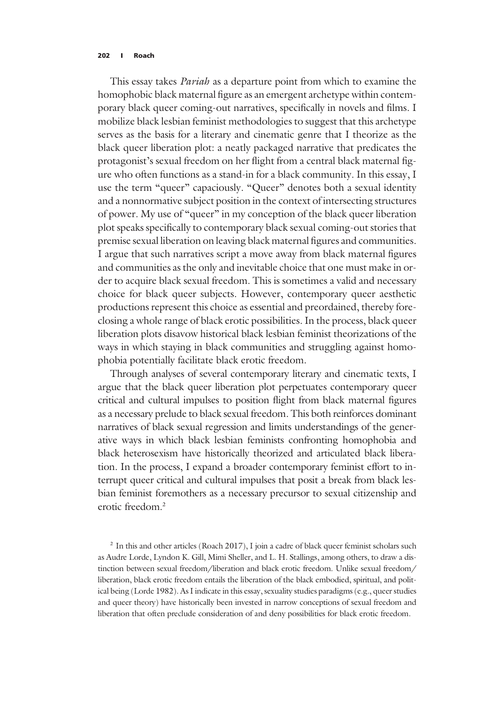#### 202 | Roach

This essay takes *Pariah* as a departure point from which to examine the homophobic black maternal figure as an emergent archetype within contemporary black queer coming-out narratives, specifically in novels and films. I mobilize black lesbian feminist methodologies to suggest that this archetype serves as the basis for a literary and cinematic genre that I theorize as the black queer liberation plot: a neatly packaged narrative that predicates the protagonist's sexual freedom on her flight from a central black maternal figure who often functions as a stand-in for a black community. In this essay, I use the term "queer" capaciously. "Queer" denotes both a sexual identity and a nonnormative subject position in the context of intersecting structures of power. My use of "queer" in my conception of the black queer liberation plot speaks specifically to contemporary black sexual coming-out stories that premise sexual liberation on leaving black maternal figures and communities. I argue that such narratives script a move away from black maternal figures and communities as the only and inevitable choice that one must make in order to acquire black sexual freedom. This is sometimes a valid and necessary choice for black queer subjects. However, contemporary queer aesthetic productions represent this choice as essential and preordained, thereby foreclosing a whole range of black erotic possibilities. In the process, black queer liberation plots disavow historical black lesbian feminist theorizations of the ways in which staying in black communities and struggling against homophobia potentially facilitate black erotic freedom.

Through analyses of several contemporary literary and cinematic texts, I argue that the black queer liberation plot perpetuates contemporary queer critical and cultural impulses to position flight from black maternal figures as a necessary prelude to black sexual freedom. This both reinforces dominant narratives of black sexual regression and limits understandings of the generative ways in which black lesbian feminists confronting homophobia and black heterosexism have historically theorized and articulated black liberation. In the process, I expand a broader contemporary feminist effort to interrupt queer critical and cultural impulses that posit a break from black lesbian feminist foremothers as a necessary precursor to sexual citizenship and erotic freedom<sup>2</sup>

<sup>2</sup> In this and other articles (Roach 2017), I join a cadre of black queer feminist scholars such as Audre Lorde, Lyndon K. Gill, Mimi Sheller, and L. H. Stallings, among others, to draw a distinction between sexual freedom/liberation and black erotic freedom. Unlike sexual freedom/ liberation, black erotic freedom entails the liberation of the black embodied, spiritual, and political being (Lorde 1982). As I indicate in this essay, sexuality studies paradigms (e.g., queer studies and queer theory) have historically been invested in narrow conceptions of sexual freedom and liberation that often preclude consideration of and deny possibilities for black erotic freedom.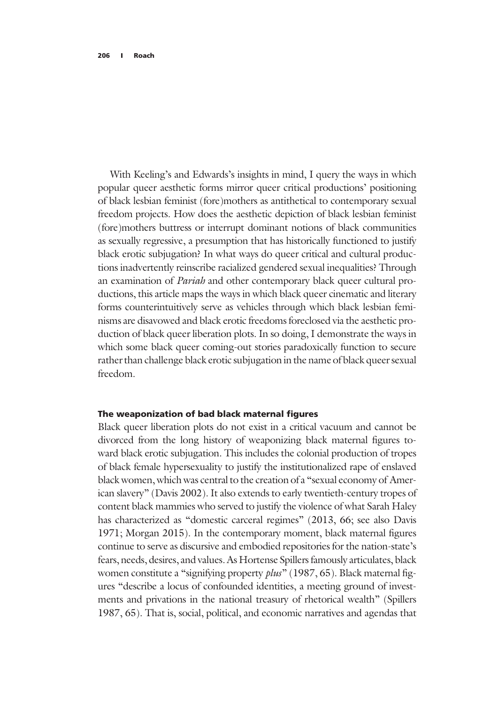With Keeling's and Edwards's insights in mind, I query the ways in which popular queer aesthetic forms mirror queer critical productions' positioning of black lesbian feminist (fore)mothers as antithetical to contemporary sexual freedom projects. How does the aesthetic depiction of black lesbian feminist (fore)mothers buttress or interrupt dominant notions of black communities as sexually regressive, a presumption that has historically functioned to justify black erotic subjugation? In what ways do queer critical and cultural productions inadvertently reinscribe racialized gendered sexual inequalities? Through an examination of Pariah and other contemporary black queer cultural productions, this article maps the ways in which black queer cinematic and literary forms counterintuitively serve as vehicles through which black lesbian feminisms are disavowed and black erotic freedoms foreclosed via the aesthetic production of black queer liberation plots. In so doing, I demonstrate the ways in which some black queer coming-out stories paradoxically function to secure rather than challenge black erotic subjugation in the name of black queer sexual freedom.

# The weaponization of bad black maternal figures

Black queer liberation plots do not exist in a critical vacuum and cannot be divorced from the long history of weaponizing black maternal figures toward black erotic subjugation. This includes the colonial production of tropes of black female hypersexuality to justify the institutionalized rape of enslaved black women, which was central to the creation of a "sexual economy of American slavery" (Davis 2002). It also extends to early twentieth-century tropes of content black mammies who served to justify the violence of what Sarah Haley has characterized as "domestic carceral regimes" (2013, 66; see also Davis 1971; Morgan 2015). In the contemporary moment, black maternal figures continue to serve as discursive and embodied repositories for the nation-state's fears, needs, desires, and values. As Hortense Spillers famously articulates, black women constitute a "signifying property plus" (1987, 65). Black maternal figures "describe a locus of confounded identities, a meeting ground of investments and privations in the national treasury of rhetorical wealth" (Spillers 1987, 65). That is, social, political, and economic narratives and agendas that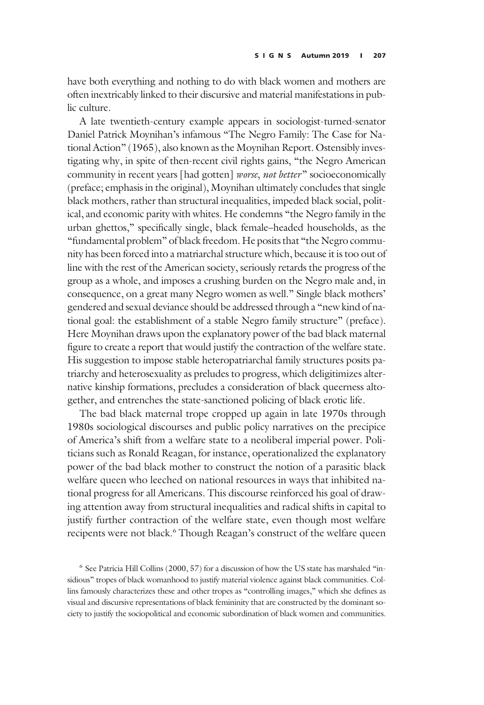have both everything and nothing to do with black women and mothers are often inextricably linked to their discursive and material manifestations in public culture.

A late twentieth-century example appears in sociologist-turned-senator Daniel Patrick Moynihan's infamous "The Negro Family: The Case for National Action" (1965), also known as the Moynihan Report. Ostensibly investigating why, in spite of then-recent civil rights gains, "the Negro American community in recent years [had gotten] worse, not better" socioeconomically (preface; emphasis in the original), Moynihan ultimately concludes that single black mothers, rather than structural inequalities, impeded black social, political, and economic parity with whites. He condemns "the Negro family in the urban ghettos," specifically single, black female–headed households, as the "fundamental problem" of black freedom. He posits that "the Negro community has been forced into a matriarchal structure which, because it is too out of line with the rest of the American society, seriously retards the progress of the group as a whole, and imposes a crushing burden on the Negro male and, in consequence, on a great many Negro women as well." Single black mothers' gendered and sexual deviance should be addressed through a "new kind of national goal: the establishment of a stable Negro family structure" (preface). Here Moynihan draws upon the explanatory power of the bad black maternal figure to create a report that would justify the contraction of the welfare state. His suggestion to impose stable heteropatriarchal family structures posits patriarchy and heterosexuality as preludes to progress, which deligitimizes alternative kinship formations, precludes a consideration of black queerness altogether, and entrenches the state-sanctioned policing of black erotic life.

The bad black maternal trope cropped up again in late 1970s through 1980s sociological discourses and public policy narratives on the precipice of America's shift from a welfare state to a neoliberal imperial power. Politicians such as Ronald Reagan, for instance, operationalized the explanatory power of the bad black mother to construct the notion of a parasitic black welfare queen who leeched on national resources in ways that inhibited national progress for all Americans. This discourse reinforced his goal of drawing attention away from structural inequalities and radical shifts in capital to justify further contraction of the welfare state, even though most welfare recipents were not black.<sup>6</sup> Though Reagan's construct of the welfare queen

<sup>6</sup> See Patricia Hill Collins (2000, 57) for a discussion of how the US state has marshaled "insidious" tropes of black womanhood to justify material violence against black communities. Collins famously characterizes these and other tropes as "controlling images," which she defines as visual and discursive representations of black femininity that are constructed by the dominant society to justify the sociopolitical and economic subordination of black women and communities.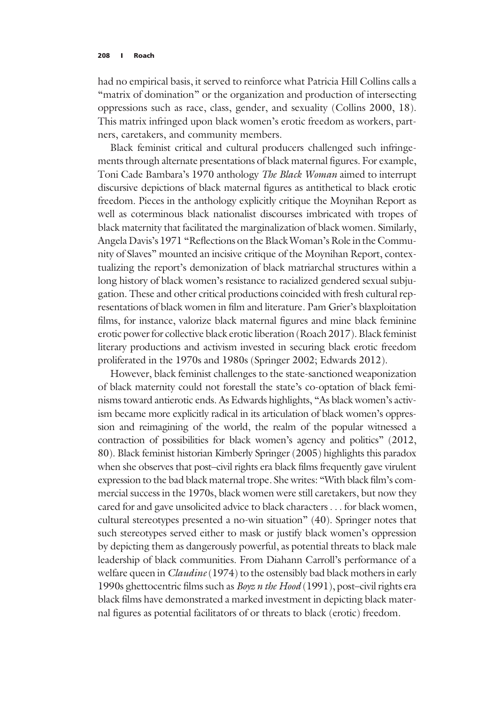had no empirical basis, it served to reinforce what Patricia Hill Collins calls a "matrix of domination" or the organization and production of intersecting oppressions such as race, class, gender, and sexuality (Collins 2000, 18). This matrix infringed upon black women's erotic freedom as workers, partners, caretakers, and community members.

Black feminist critical and cultural producers challenged such infringements through alternate presentations of black maternal figures. For example, Toni Cade Bambara's 1970 anthology The Black Woman aimed to interrupt discursive depictions of black maternal figures as antithetical to black erotic freedom. Pieces in the anthology explicitly critique the Moynihan Report as well as coterminous black nationalist discourses imbricated with tropes of black maternity that facilitated the marginalization of black women. Similarly, Angela Davis's 1971 "Reflections on the Black Woman's Role in the Community of Slaves" mounted an incisive critique of the Moynihan Report, contextualizing the report's demonization of black matriarchal structures within a long history of black women's resistance to racialized gendered sexual subjugation. These and other critical productions coincided with fresh cultural representations of black women in film and literature. Pam Grier's blaxploitation films, for instance, valorize black maternal figures and mine black feminine erotic power for collective black erotic liberation (Roach 2017). Black feminist literary productions and activism invested in securing black erotic freedom proliferated in the 1970s and 1980s (Springer 2002; Edwards 2012).

However, black feminist challenges to the state-sanctioned weaponization of black maternity could not forestall the state's co-optation of black feminisms toward antierotic ends. As Edwards highlights, "As black women's activism became more explicitly radical in its articulation of black women's oppression and reimagining of the world, the realm of the popular witnessed a contraction of possibilities for black women's agency and politics" (2012, 80). Black feminist historian Kimberly Springer (2005) highlights this paradox when she observes that post–civil rights era black films frequently gave virulent expression to the bad black maternal trope. She writes: "With black film's commercial success in the 1970s, black women were still caretakers, but now they cared for and gave unsolicited advice to black characters ... for black women, cultural stereotypes presented a no-win situation" (40). Springer notes that such stereotypes served either to mask or justify black women's oppression by depicting them as dangerously powerful, as potential threats to black male leadership of black communities. From Diahann Carroll's performance of a welfare queen in *Claudine* (1974) to the ostensibly bad black mothers in early 1990s ghettocentric films such as Boyz n the Hood (1991), post–civil rights era black films have demonstrated a marked investment in depicting black maternal figures as potential facilitators of or threats to black (erotic) freedom.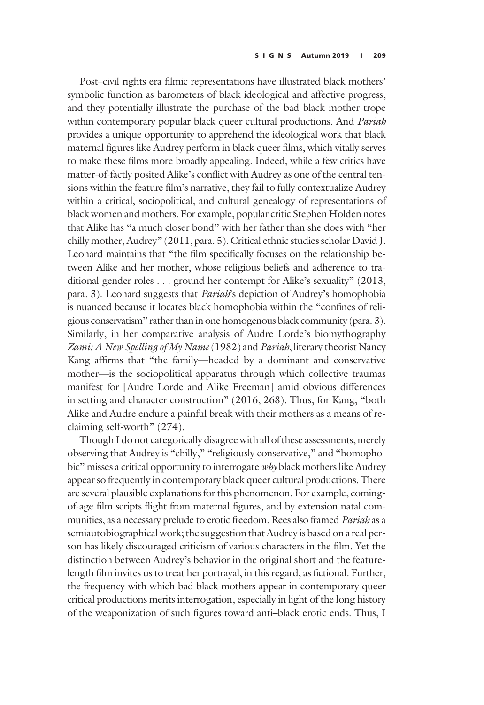Post–civil rights era filmic representations have illustrated black mothers' symbolic function as barometers of black ideological and affective progress, and they potentially illustrate the purchase of the bad black mother trope within contemporary popular black queer cultural productions. And Pariah provides a unique opportunity to apprehend the ideological work that black maternal figures like Audrey perform in black queer films, which vitally serves to make these films more broadly appealing. Indeed, while a few critics have matter-of-factly posited Alike's conflict with Audrey as one of the central tensions within the feature film's narrative, they fail to fully contextualize Audrey within a critical, sociopolitical, and cultural genealogy of representations of black women and mothers. For example, popular critic Stephen Holden notes that Alike has "a much closer bond" with her father than she does with "her chilly mother, Audrey" (2011, para. 5). Critical ethnic studies scholar David J. Leonard maintains that "the film specifically focuses on the relationship between Alike and her mother, whose religious beliefs and adherence to traditional gender roles ... ground her contempt for Alike's sexuality" (2013, para. 3). Leonard suggests that *Pariah's* depiction of Audrey's homophobia is nuanced because it locates black homophobia within the "confines of religious conservatism" rather than in one homogenous black community (para. 3). Similarly, in her comparative analysis of Audre Lorde's biomythography Zami: A New Spelling of My Name (1982) and Pariah, literary theorist Nancy Kang affirms that "the family—headed by a dominant and conservative mother—is the sociopolitical apparatus through which collective traumas manifest for [Audre Lorde and Alike Freeman] amid obvious differences in setting and character construction" (2016, 268). Thus, for Kang, "both Alike and Audre endure a painful break with their mothers as a means of reclaiming self-worth" (274).

Though I do not categorically disagree with all of these assessments, merely observing that Audrey is "chilly," "religiously conservative," and "homophobic" misses a critical opportunity to interrogate why black mothers like Audrey appear so frequently in contemporary black queer cultural productions. There are several plausible explanations for this phenomenon. For example, comingof-age film scripts flight from maternal figures, and by extension natal communities, as a necessary prelude to erotic freedom. Rees also framed *Pariah* as a semiautobiographical work; the suggestion that Audrey is based on a real person has likely discouraged criticism of various characters in the film. Yet the distinction between Audrey's behavior in the original short and the featurelength film invites us to treat her portrayal, in this regard, as fictional. Further, the frequency with which bad black mothers appear in contemporary queer critical productions merits interrogation, especially in light of the long history of the weaponization of such figures toward anti–black erotic ends. Thus, I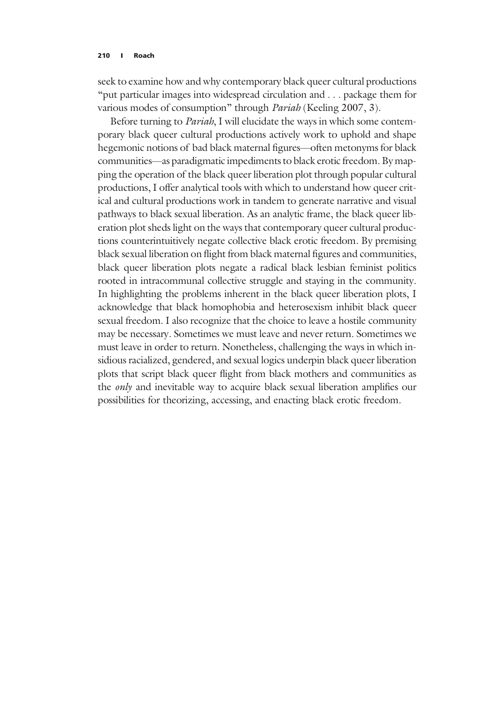seek to examine how and why contemporary black queer cultural productions "put particular images into widespread circulation and ... package them for various modes of consumption" through Pariah (Keeling 2007, 3).

Before turning to Pariah, I will elucidate the ways in which some contemporary black queer cultural productions actively work to uphold and shape hegemonic notions of bad black maternal figures—often metonyms for black communities—as paradigmatic impediments to black erotic freedom. By mapping the operation of the black queer liberation plot through popular cultural productions, I offer analytical tools with which to understand how queer critical and cultural productions work in tandem to generate narrative and visual pathways to black sexual liberation. As an analytic frame, the black queer liberation plot sheds light on the ways that contemporary queer cultural productions counterintuitively negate collective black erotic freedom. By premising black sexual liberation on flight from black maternal figures and communities, black queer liberation plots negate a radical black lesbian feminist politics rooted in intracommunal collective struggle and staying in the community. In highlighting the problems inherent in the black queer liberation plots, I acknowledge that black homophobia and heterosexism inhibit black queer sexual freedom. I also recognize that the choice to leave a hostile community may be necessary. Sometimes we must leave and never return. Sometimes we must leave in order to return. Nonetheless, challenging the ways in which insidious racialized, gendered, and sexual logics underpin black queer liberation plots that script black queer flight from black mothers and communities as the only and inevitable way to acquire black sexual liberation amplifies our possibilities for theorizing, accessing, and enacting black erotic freedom.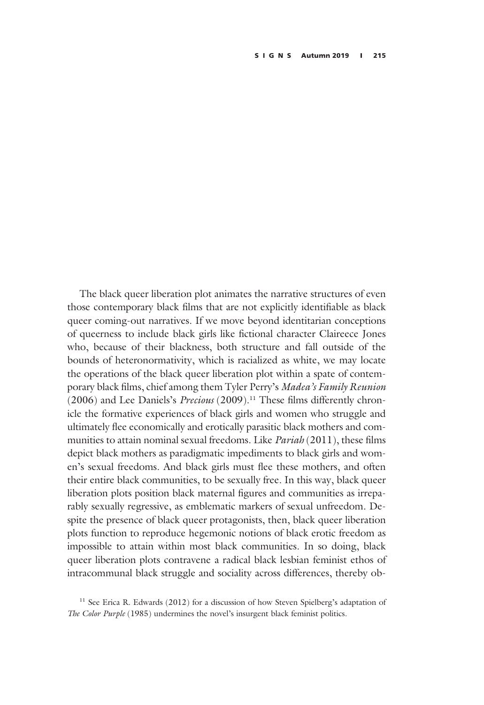The black queer liberation plot animates the narrative structures of even those contemporary black films that are not explicitly identifiable as black queer coming-out narratives. If we move beyond identitarian conceptions of queerness to include black girls like fictional character Claireece Jones who, because of their blackness, both structure and fall outside of the bounds of heteronormativity, which is racialized as white, we may locate the operations of the black queer liberation plot within a spate of contemporary black films, chief among them Tyler Perry's Madea's Family Reunion (2006) and Lee Daniels's *Precious* (2009).<sup>11</sup> These films differently chronicle the formative experiences of black girls and women who struggle and ultimately flee economically and erotically parasitic black mothers and communities to attain nominal sexual freedoms. Like Pariah (2011), these films depict black mothers as paradigmatic impediments to black girls and women's sexual freedoms. And black girls must flee these mothers, and often their entire black communities, to be sexually free. In this way, black queer liberation plots position black maternal figures and communities as irreparably sexually regressive, as emblematic markers of sexual unfreedom. Despite the presence of black queer protagonists, then, black queer liberation plots function to reproduce hegemonic notions of black erotic freedom as impossible to attain within most black communities. In so doing, black queer liberation plots contravene a radical black lesbian feminist ethos of intracommunal black struggle and sociality across differences, thereby ob-

<sup>11</sup> See Erica R. Edwards (2012) for a discussion of how Steven Spielberg's adaptation of The Color Purple (1985) undermines the novel's insurgent black feminist politics.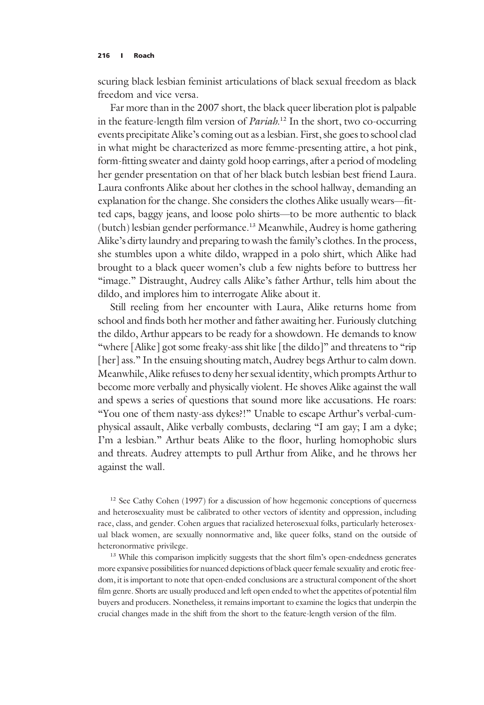scuring black lesbian feminist articulations of black sexual freedom as black freedom and vice versa.

Far more than in the 2007 short, the black queer liberation plot is palpable in the feature-length film version of *Pariah*.<sup>12</sup> In the short, two co-occurring events precipitate Alike's coming out as a lesbian. First, she goes to school clad in what might be characterized as more femme-presenting attire, a hot pink, form-fitting sweater and dainty gold hoop earrings, after a period of modeling her gender presentation on that of her black butch lesbian best friend Laura. Laura confronts Alike about her clothes in the school hallway, demanding an explanation for the change. She considers the clothes Alike usually wears—fitted caps, baggy jeans, and loose polo shirts—to be more authentic to black (butch) lesbian gender performance.13 Meanwhile, Audrey is home gathering Alike's dirty laundry and preparing to wash the family's clothes. In the process, she stumbles upon a white dildo, wrapped in a polo shirt, which Alike had brought to a black queer women's club a few nights before to buttress her "image." Distraught, Audrey calls Alike's father Arthur, tells him about the dildo, and implores him to interrogate Alike about it.

Still reeling from her encounter with Laura, Alike returns home from school and finds both her mother and father awaiting her. Furiously clutching the dildo, Arthur appears to be ready for a showdown. He demands to know "where [Alike] got some freaky-ass shit like [the dildo]" and threatens to "rip [her] ass." In the ensuing shouting match, Audrey begs Arthur to calm down. Meanwhile, Alike refuses to deny her sexual identity, which prompts Arthur to become more verbally and physically violent. He shoves Alike against the wall and spews a series of questions that sound more like accusations. He roars: "You one of them nasty-ass dykes?!" Unable to escape Arthur's verbal-cumphysical assault, Alike verbally combusts, declaring "I am gay; I am a dyke; I'm a lesbian." Arthur beats Alike to the floor, hurling homophobic slurs and threats. Audrey attempts to pull Arthur from Alike, and he throws her against the wall.

<sup>12</sup> See Cathy Cohen (1997) for a discussion of how hegemonic conceptions of queerness and heterosexuality must be calibrated to other vectors of identity and oppression, including race, class, and gender. Cohen argues that racialized heterosexual folks, particularly heterosexual black women, are sexually nonnormative and, like queer folks, stand on the outside of heteronormative privilege.

<sup>13</sup> While this comparison implicitly suggests that the short film's open-endedness generates more expansive possibilities for nuanced depictions of black queer female sexuality and erotic freedom, it is important to note that open-ended conclusions are a structural component of the short film genre. Shorts are usually produced and left open ended to whet the appetites of potential film buyers and producers. Nonetheless, it remains important to examine the logics that underpin the crucial changes made in the shift from the short to the feature-length version of the film.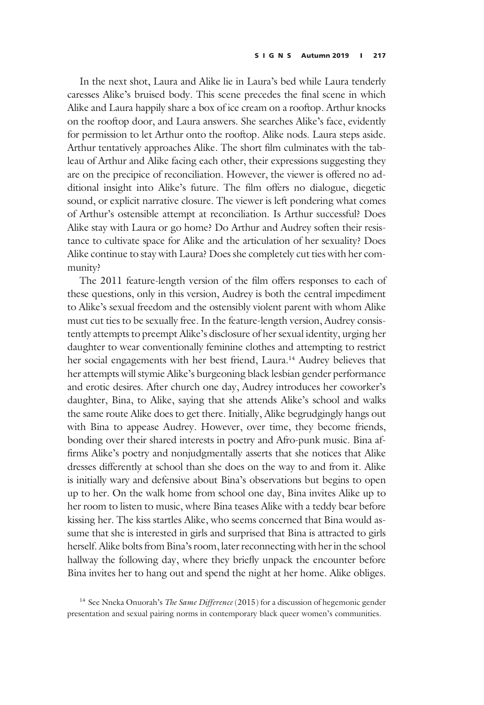In the next shot, Laura and Alike lie in Laura's bed while Laura tenderly caresses Alike's bruised body. This scene precedes the final scene in which Alike and Laura happily share a box of ice cream on a rooftop. Arthur knocks on the rooftop door, and Laura answers. She searches Alike's face, evidently for permission to let Arthur onto the rooftop. Alike nods. Laura steps aside. Arthur tentatively approaches Alike. The short film culminates with the tableau of Arthur and Alike facing each other, their expressions suggesting they are on the precipice of reconciliation. However, the viewer is offered no additional insight into Alike's future. The film offers no dialogue, diegetic sound, or explicit narrative closure. The viewer is left pondering what comes of Arthur's ostensible attempt at reconciliation. Is Arthur successful? Does Alike stay with Laura or go home? Do Arthur and Audrey soften their resistance to cultivate space for Alike and the articulation of her sexuality? Does Alike continue to stay with Laura? Does she completely cut ties with her community?

The 2011 feature-length version of the film offers responses to each of these questions, only in this version, Audrey is both the central impediment to Alike's sexual freedom and the ostensibly violent parent with whom Alike must cut ties to be sexually free. In the feature-length version, Audrey consistently attempts to preempt Alike's disclosure of her sexual identity, urging her daughter to wear conventionally feminine clothes and attempting to restrict her social engagements with her best friend, Laura.<sup>14</sup> Audrey believes that her attempts will stymie Alike's burgeoning black lesbian gender performance and erotic desires. After church one day, Audrey introduces her coworker's daughter, Bina, to Alike, saying that she attends Alike's school and walks the same route Alike does to get there. Initially, Alike begrudgingly hangs out with Bina to appease Audrey. However, over time, they become friends, bonding over their shared interests in poetry and Afro-punk music. Bina affirms Alike's poetry and nonjudgmentally asserts that she notices that Alike dresses differently at school than she does on the way to and from it. Alike is initially wary and defensive about Bina's observations but begins to open up to her. On the walk home from school one day, Bina invites Alike up to her room to listen to music, where Bina teases Alike with a teddy bear before kissing her. The kiss startles Alike, who seems concerned that Bina would assume that she is interested in girls and surprised that Bina is attracted to girls herself. Alike bolts from Bina's room, later reconnecting with her in the school hallway the following day, where they briefly unpack the encounter before Bina invites her to hang out and spend the night at her home. Alike obliges.

<sup>14</sup> See Nneka Onuorah's *The Same Difference* (2015) for a discussion of hegemonic gender presentation and sexual pairing norms in contemporary black queer women's communities.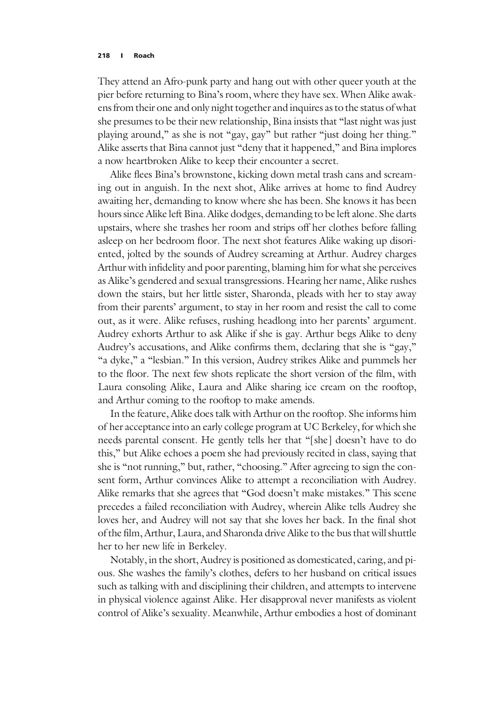They attend an Afro-punk party and hang out with other queer youth at the pier before returning to Bina's room, where they have sex. When Alike awakens from their one and only night together and inquires as to the status of what she presumes to be their new relationship, Bina insists that "last night was just playing around," as she is not "gay, gay" but rather "just doing her thing." Alike asserts that Bina cannot just "deny that it happened," and Bina implores a now heartbroken Alike to keep their encounter a secret.

Alike flees Bina's brownstone, kicking down metal trash cans and screaming out in anguish. In the next shot, Alike arrives at home to find Audrey awaiting her, demanding to know where she has been. She knows it has been hours since Alike left Bina. Alike dodges, demanding to be left alone. She darts upstairs, where she trashes her room and strips off her clothes before falling asleep on her bedroom floor. The next shot features Alike waking up disoriented, jolted by the sounds of Audrey screaming at Arthur. Audrey charges Arthur with infidelity and poor parenting, blaming him for what she perceives as Alike's gendered and sexual transgressions. Hearing her name, Alike rushes down the stairs, but her little sister, Sharonda, pleads with her to stay away from their parents' argument, to stay in her room and resist the call to come out, as it were. Alike refuses, rushing headlong into her parents' argument. Audrey exhorts Arthur to ask Alike if she is gay. Arthur begs Alike to deny Audrey's accusations, and Alike confirms them, declaring that she is "gay," "a dyke," a "lesbian." In this version, Audrey strikes Alike and pummels her to the floor. The next few shots replicate the short version of the film, with Laura consoling Alike, Laura and Alike sharing ice cream on the rooftop, and Arthur coming to the rooftop to make amends.

In the feature, Alike does talk with Arthur on the rooftop. She informs him of her acceptance into an early college program at UC Berkeley, for which she needs parental consent. He gently tells her that "[she] doesn't have to do this," but Alike echoes a poem she had previously recited in class, saying that she is "not running," but, rather, "choosing." After agreeing to sign the consent form, Arthur convinces Alike to attempt a reconciliation with Audrey. Alike remarks that she agrees that "God doesn't make mistakes." This scene precedes a failed reconciliation with Audrey, wherein Alike tells Audrey she loves her, and Audrey will not say that she loves her back. In the final shot of the film, Arthur, Laura, and Sharonda drive Alike to the bus that will shuttle her to her new life in Berkeley.

Notably, in the short, Audrey is positioned as domesticated, caring, and pious. She washes the family's clothes, defers to her husband on critical issues such as talking with and disciplining their children, and attempts to intervene in physical violence against Alike. Her disapproval never manifests as violent control of Alike's sexuality. Meanwhile, Arthur embodies a host of dominant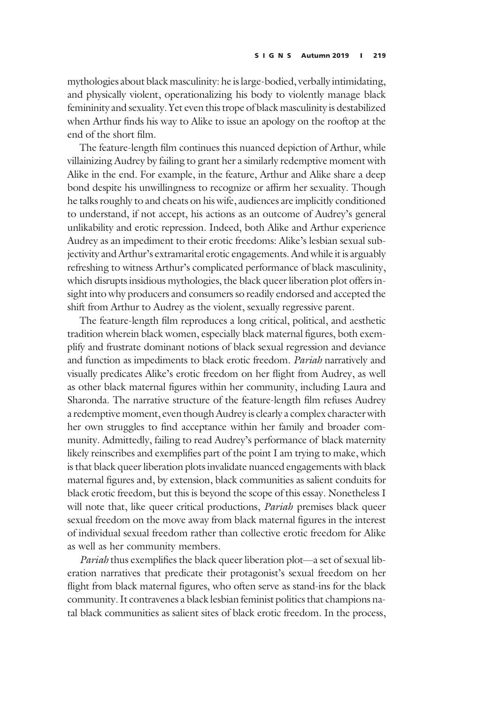mythologies about black masculinity: he is large-bodied, verbally intimidating, and physically violent, operationalizing his body to violently manage black femininity and sexuality. Yet even this trope of black masculinity is destabilized when Arthur finds his way to Alike to issue an apology on the rooftop at the end of the short film.

The feature-length film continues this nuanced depiction of Arthur, while villainizing Audrey by failing to grant her a similarly redemptive moment with Alike in the end. For example, in the feature, Arthur and Alike share a deep bond despite his unwillingness to recognize or affirm her sexuality. Though he talks roughly to and cheats on his wife, audiences are implicitly conditioned to understand, if not accept, his actions as an outcome of Audrey's general unlikability and erotic repression. Indeed, both Alike and Arthur experience Audrey as an impediment to their erotic freedoms: Alike's lesbian sexual subjectivity and Arthur's extramarital erotic engagements. And while it is arguably refreshing to witness Arthur's complicated performance of black masculinity, which disrupts insidious mythologies, the black queer liberation plot offers insight into why producers and consumers so readily endorsed and accepted the shift from Arthur to Audrey as the violent, sexually regressive parent.

The feature-length film reproduces a long critical, political, and aesthetic tradition wherein black women, especially black maternal figures, both exemplify and frustrate dominant notions of black sexual regression and deviance and function as impediments to black erotic freedom. Pariah narratively and visually predicates Alike's erotic freedom on her flight from Audrey, as well as other black maternal figures within her community, including Laura and Sharonda. The narrative structure of the feature-length film refuses Audrey a redemptive moment, even though Audrey is clearly a complex character with her own struggles to find acceptance within her family and broader community. Admittedly, failing to read Audrey's performance of black maternity likely reinscribes and exemplifies part of the point I am trying to make, which is that black queer liberation plots invalidate nuanced engagements with black maternal figures and, by extension, black communities as salient conduits for black erotic freedom, but this is beyond the scope of this essay. Nonetheless I will note that, like queer critical productions, *Pariah* premises black queer sexual freedom on the move away from black maternal figures in the interest of individual sexual freedom rather than collective erotic freedom for Alike as well as her community members.

Pariah thus exemplifies the black queer liberation plot—a set of sexual liberation narratives that predicate their protagonist's sexual freedom on her flight from black maternal figures, who often serve as stand-ins for the black community. It contravenes a black lesbian feminist politics that champions natal black communities as salient sites of black erotic freedom. In the process,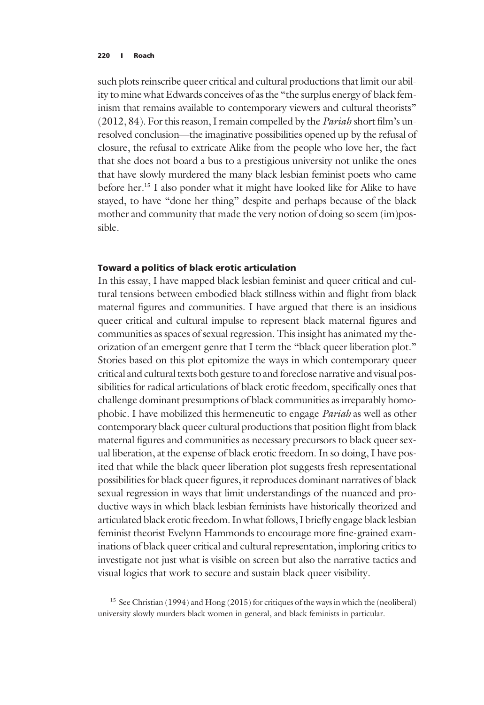such plots reinscribe queer critical and cultural productions that limit our ability to mine what Edwards conceives of as the "the surplus energy of black feminism that remains available to contemporary viewers and cultural theorists" (2012, 84). For this reason, I remain compelled by the *Pariah* short film's unresolved conclusion—the imaginative possibilities opened up by the refusal of closure, the refusal to extricate Alike from the people who love her, the fact that she does not board a bus to a prestigious university not unlike the ones that have slowly murdered the many black lesbian feminist poets who came before her.15 I also ponder what it might have looked like for Alike to have stayed, to have "done her thing" despite and perhaps because of the black mother and community that made the very notion of doing so seem (im)possible.

# Toward a politics of black erotic articulation

In this essay, I have mapped black lesbian feminist and queer critical and cultural tensions between embodied black stillness within and flight from black maternal figures and communities. I have argued that there is an insidious queer critical and cultural impulse to represent black maternal figures and communities as spaces of sexual regression. This insight has animated my theorization of an emergent genre that I term the "black queer liberation plot." Stories based on this plot epitomize the ways in which contemporary queer critical and cultural texts both gesture to and foreclose narrative and visual possibilities for radical articulations of black erotic freedom, specifically ones that challenge dominant presumptions of black communities as irreparably homophobic. I have mobilized this hermeneutic to engage Pariah as well as other contemporary black queer cultural productions that position flight from black maternal figures and communities as necessary precursors to black queer sexual liberation, at the expense of black erotic freedom. In so doing, I have posited that while the black queer liberation plot suggests fresh representational possibilities for black queer figures, it reproduces dominant narratives of black sexual regression in ways that limit understandings of the nuanced and productive ways in which black lesbian feminists have historically theorized and articulated black erotic freedom. In what follows, I briefly engage black lesbian feminist theorist Evelynn Hammonds to encourage more fine-grained examinations of black queer critical and cultural representation, imploring critics to investigate not just what is visible on screen but also the narrative tactics and visual logics that work to secure and sustain black queer visibility.

<sup>&</sup>lt;sup>15</sup> See Christian (1994) and Hong (2015) for critiques of the ways in which the (neoliberal) university slowly murders black women in general, and black feminists in particular.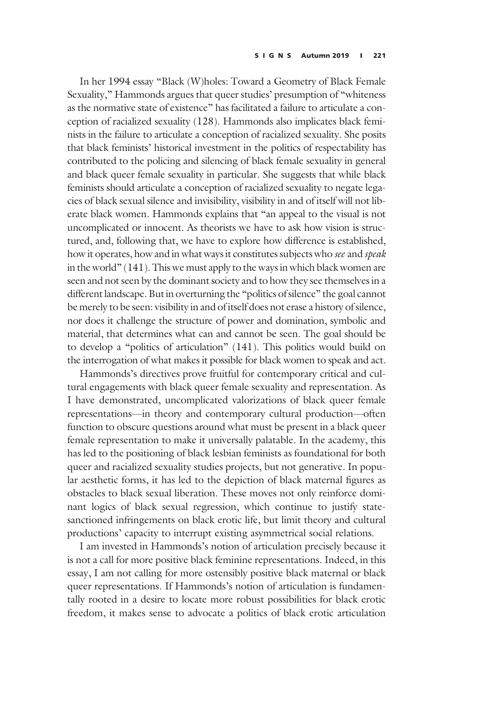In her 1994 essay "Black (W)holes: Toward a Geometry of Black Female Sexuality," Hammonds argues that queer studies' presumption of "whiteness as the normative state of existence" has facilitated a failure to articulate a conception of racialized sexuality (128). Hammonds also implicates black feminists in the failure to articulate a conception of racialized sexuality. She posits that black feminists' historical investment in the politics of respectability has contributed to the policing and silencing of black female sexuality in general and black queer female sexuality in particular. She suggests that while black feminists should articulate a conception of racialized sexuality to negate legacies of black sexual silence and invisibility, visibility in and of itself will not liberate black women. Hammonds explains that "an appeal to the visual is not uncomplicated or innocent. As theorists we have to ask how vision is structured, and, following that, we have to explore how difference is established, how it operates, how and in what ways it constitutes subjects who see and speak in the world" (141). This we must apply to the ways in which black women are seen and not seen by the dominant society and to how they see themselves in a different landscape. But in overturning the "politics of silence" the goal cannot be merely to be seen: visibility in and of itself does not erase a history of silence, nor does it challenge the structure of power and domination, symbolic and material, that determines what can and cannot be seen. The goal should be to develop a "politics of articulation" (141). This politics would build on the interrogation of what makes it possible for black women to speak and act.

Hammonds's directives prove fruitful for contemporary critical and cultural engagements with black queer female sexuality and representation. As I have demonstrated, uncomplicated valorizations of black queer female representations—in theory and contemporary cultural production—often function to obscure questions around what must be present in a black queer female representation to make it universally palatable. In the academy, this has led to the positioning of black lesbian feminists as foundational for both queer and racialized sexuality studies projects, but not generative. In popular aesthetic forms, it has led to the depiction of black maternal figures as obstacles to black sexual liberation. These moves not only reinforce dominant logics of black sexual regression, which continue to justify statesanctioned infringements on black erotic life, but limit theory and cultural productions' capacity to interrupt existing asymmetrical social relations.

I am invested in Hammonds's notion of articulation precisely because it is not a call for more positive black feminine representations. Indeed, in this essay, I am not calling for more ostensibly positive black maternal or black queer representations. If Hammonds's notion of articulation is fundamentally rooted in a desire to locate more robust possibilities for black erotic freedom, it makes sense to advocate a politics of black erotic articulation